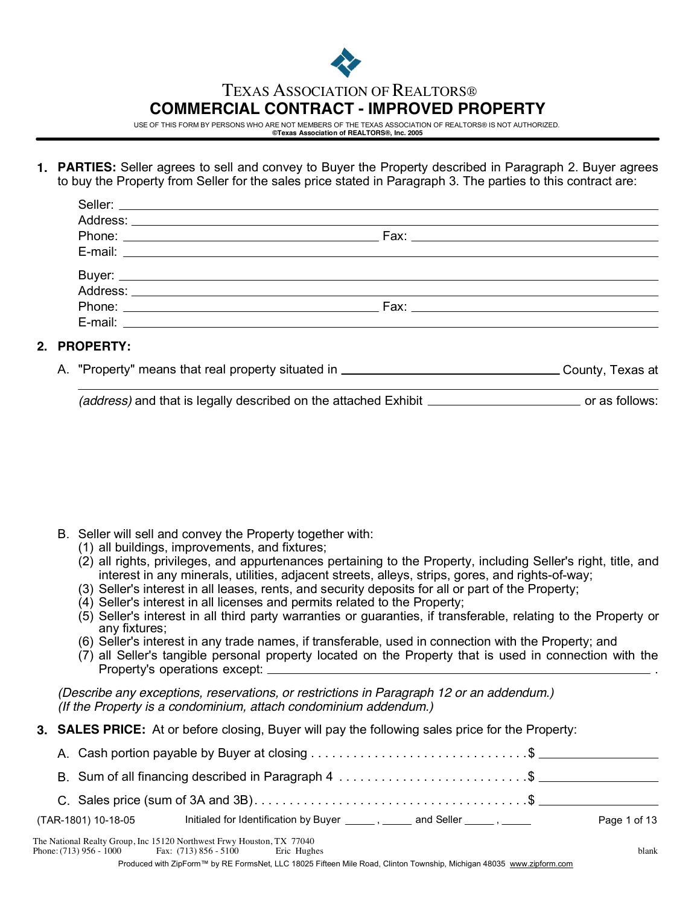

# TEXAS ASSOCIATION OF REALTORS®

# **COMMERCIAL CONTRACT - IMPROVED PROPERTY**

USE OF THIS FORM BY PERSONS WHO ARE NOT MEMBERS OF THE TEXAS ASSOCIATION OF REALTORS® IS NOT AUTHORIZED. **©Texas Association of REALTORS®, Inc. 2005**

**1. PARTIES:** Seller agrees to sell and convey to Buyer the Property described in Paragraph 2. Buyer agrees to buy the Property from Seller for the sales price stated in Paragraph 3. The parties to this contract are:

| Address: |  |
|----------|--|
|          |  |
|          |  |
|          |  |

## **2. PROPERTY:**

"Property" means that real property situated in A. County, Texas at

*(address)* and that is legally described on the attached Exhibit **contained in the set of a** follows:

- B. Seller will sell and convey the Property together with:
	- (1) all buildings, improvements, and fixtures;
	- (2) all rights, privileges, and appurtenances pertaining to the Property, including Seller's right, title, and interest in any minerals, utilities, adjacent streets, alleys, strips, gores, and rights-of-way;
	- (3) Seller's interest in all leases, rents, and security deposits for all or part of the Property;
	- (4) Seller's interest in all licenses and permits related to the Property;
	- (5) Seller's interest in all third party warranties or guaranties, if transferable, relating to the Property or any fixtures;
	- (6) Seller's interest in any trade names, if transferable, used in connection with the Property; and
	- (7) all Seller's tangible personal property located on the Property that is used in connection with the Property's operations except: \_

*(Describe any exceptions, reservations, or restrictions in Paragraph 12 or an addendum.) (If the Property is a condominium, attach condominium addendum.)*

**3. SALES PRICE:** At or before closing, Buyer will pay the following sales price for the Property:

|                     | B. Sum of all financing described in Paragraph 4 \$                                                                                            |              |
|---------------------|------------------------------------------------------------------------------------------------------------------------------------------------|--------------|
|                     | C. Sales price (sum of 3A and 3B). $\dots$ . $\dots$ . $\dots$ . $\dots$ . $\dots$ . $\dots$ . $\dots$ . $\dots$ . $\dots$ . $\dots$ . $\dots$ |              |
| (TAR-1801) 10-18-05 | Initialed for Identification by Buyer _______, ______ and Seller ______, ______                                                                | Page 1 of 13 |
|                     | The National Realty Group, Inc 15120 Northwest Frwy Houston, TX 77040                                                                          |              |

Phone:  $(713)$  956 - 1000 Fax: (713) 856 - 5100 Eric Hughes blank

Produced with ZipForm™ by RE FormsNet, LLC 18025 Fifteen Mile Road, Clinton Township, Michigan 48035 www.zipform.com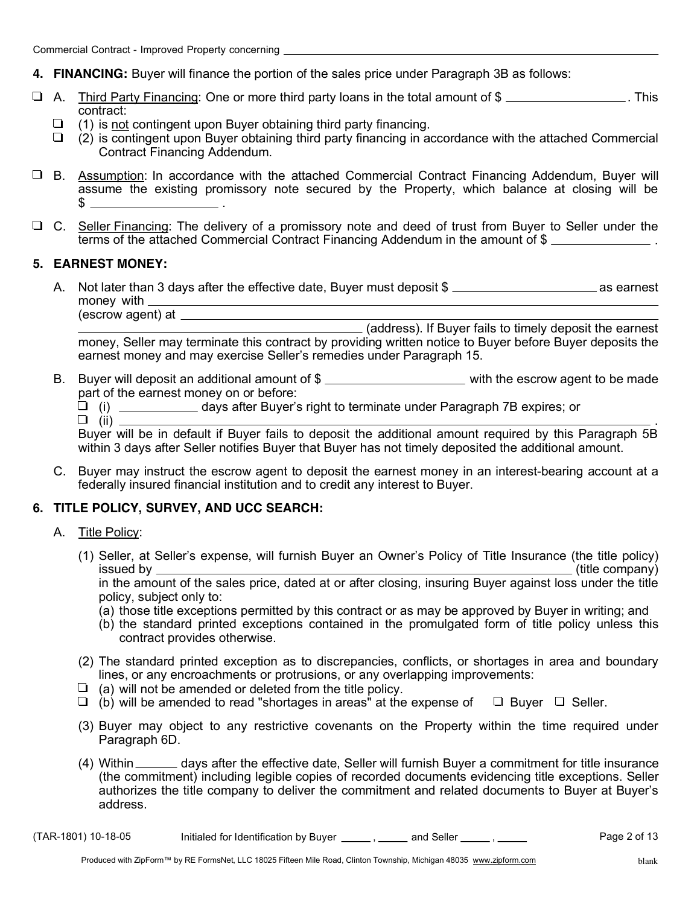- **4. FINANCING:** Buyer will finance the portion of the sales price under Paragraph 3B as follows:
- $\Box$  A. Third Party Financing: One or more third party loans in the total amount of  $\$\_\_\_\_\_\_\_$ . This contract:
	- $\Box$  (1) is not contingent upon Buyer obtaining third party financing.
	- $\Box$  (2) is contingent upon Buyer obtaining third party financing in accordance with the attached Commercial Contract Financing Addendum.
- B. Assumption: In accordance with the attached Commercial Contract Financing Addendum, Buyer will . assume the existing promissory note secured by the Property, which balance at closing will be  $s$   $\qquad$
- C. Seller Financing: The delivery of a promissory note and deed of trust from Buyer to Seller under the . terms of the attached Commercial Contract Financing Addendum in the amount of \$

#### **5. EARNEST MONEY:**

(escrow agent) at

A. Not later than 3 days after the effective date, Buyer must deposit  $\frac{1}{2}$  as earnest money with \_\_\_\_\_\_\_

(address). If Buyer fails to timely deposit the earnest money, Seller may terminate this contract by providing written notice to Buyer before Buyer deposits the earnest money and may exercise Seller's remedies under Paragraph 15.

- B. Buyer will deposit an additional amount of  $\frac{1}{2}$  with the escrow agent to be made part of the earnest money on or before:
	- (i) days after Buyer's right to terminate under Paragraph 7B expires; or
	- $\Box$  (ii)  $\Box$

Buyer will be in default if Buyer fails to deposit the additional amount required by this Paragraph 5B within 3 days after Seller notifies Buyer that Buyer has not timely deposited the additional amount.

C. Buyer may instruct the escrow agent to deposit the earnest money in an interest-bearing account at a federally insured financial institution and to credit any interest to Buyer.

#### **6. TITLE POLICY, SURVEY, AND UCC SEARCH:**

- A. Title Policy:
	- (1) Seller, at Seller's expense, will furnish Buyer an Owner's Policy of Title Insurance (the title policy) issued by (title company) in the amount of the sales price, dated at or after closing, insuring Buyer against loss under the title policy, subject only to:
		- (a) those title exceptions permitted by this contract or as may be approved by Buyer in writing; and
		- (b) the standard printed exceptions contained in the promulgated form of title policy unless this contract provides otherwise.
	- (2) The standard printed exception as to discrepancies, conflicts, or shortages in area and boundary lines, or any encroachments or protrusions, or any overlapping improvements:
	- $\Box$  (a) will not be amended or deleted from the title policy.
	- $\Box$  (b) will be amended to read "shortages in areas" at the expense of  $\Box$  Buyer  $\Box$  Seller.
	- (3) Buyer may object to any restrictive covenants on the Property within the time required under Paragraph 6D.
	- (4) Within \_\_\_\_\_\_ days after the effective date, Seller will furnish Buyer a commitment for title insurance (the commitment) including legible copies of recorded documents evidencing title exceptions. Seller authorizes the title company to deliver the commitment and related documents to Buyer at Buyer's address.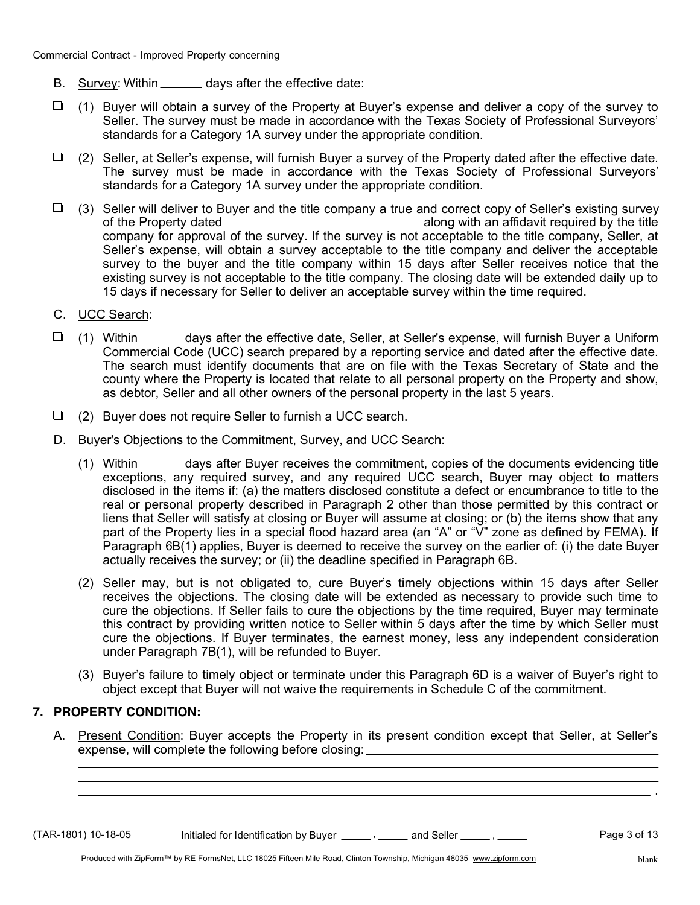- B. Survey: Within \_\_\_\_\_\_ days after the effective date:
- (1) Buyer will obtain a survey of the Property at Buyer's expense and deliver a copy of the survey to Seller. The survey must be made in accordance with the Texas Society of Professional Surveyors' standards for a Category 1A survey under the appropriate condition.
- $\Box$ (2) Seller, at Seller's expense, will furnish Buyer a survey of the Property dated after the effective date. The survey must be made in accordance with the Texas Society of Professional Surveyors' standards for a Category 1A survey under the appropriate condition.
- $\Box$  (3) Seller will deliver to Buyer and the title company a true and correct copy of Seller's existing survey along with an affidavit required by the title of the Property dated company for approval of the survey. If the survey is not acceptable to the title company, Seller, at Seller's expense, will obtain a survey acceptable to the title company and deliver the acceptable survey to the buyer and the title company within 15 days after Seller receives notice that the existing survey is not acceptable to the title company. The closing date will be extended daily up to 15 days if necessary for Seller to deliver an acceptable survey within the time required.
- C. UCC Search:
- (1) Within \_\_\_\_\_\_ days after the effective date, Seller, at Seller's expense, will furnish Buyer a Uniform Commercial Code (UCC) search prepared by a reporting service and dated after the effective date. The search must identify documents that are on file with the Texas Secretary of State and the county where the Property is located that relate to all personal property on the Property and show, as debtor, Seller and all other owners of the personal property in the last 5 years.
- $\Box$  (2) Buyer does not require Seller to furnish a UCC search.
- D. Buyer's Objections to the Commitment, Survey, and UCC Search:
	- (1) Within \_\_\_\_\_\_ days after Buyer receives the commitment, copies of the documents evidencing title exceptions, any required survey, and any required UCC search, Buyer may object to matters disclosed in the items if: (a) the matters disclosed constitute a defect or encumbrance to title to the real or personal property described in Paragraph 2 other than those permitted by this contract or liens that Seller will satisfy at closing or Buyer will assume at closing; or (b) the items show that any part of the Property lies in a special flood hazard area (an "A" or "V" zone as defined by FEMA). If Paragraph 6B(1) applies, Buyer is deemed to receive the survey on the earlier of: (i) the date Buyer actually receives the survey; or (ii) the deadline specified in Paragraph 6B.
	- (2) Seller may, but is not obligated to, cure Buyer's timely objections within 15 days after Seller receives the objections. The closing date will be extended as necessary to provide such time to cure the objections. If Seller fails to cure the objections by the time required, Buyer may terminate this contract by providing written notice to Seller within 5 days after the time by which Seller must cure the objections. If Buyer terminates, the earnest money, less any independent consideration under Paragraph 7B(1), will be refunded to Buyer.
	- (3) Buyer's failure to timely object or terminate under this Paragraph 6D is a waiver of Buyer's right to object except that Buyer will not waive the requirements in Schedule C of the commitment.

## **7. PROPERTY CONDITION:**

A. Present Condition: Buyer accepts the Property in its present condition except that Seller, at Seller's expense, will complete the following before closing:

 $(TAR-1801)$  10-18-05 Initialed for Identification by Buyer  $\frac{1}{\sqrt{2}}$ , and Seller  $\frac{1}{\sqrt{2}}$ ,  $\frac{1}{\sqrt{2}}$  Page 3 of 13

.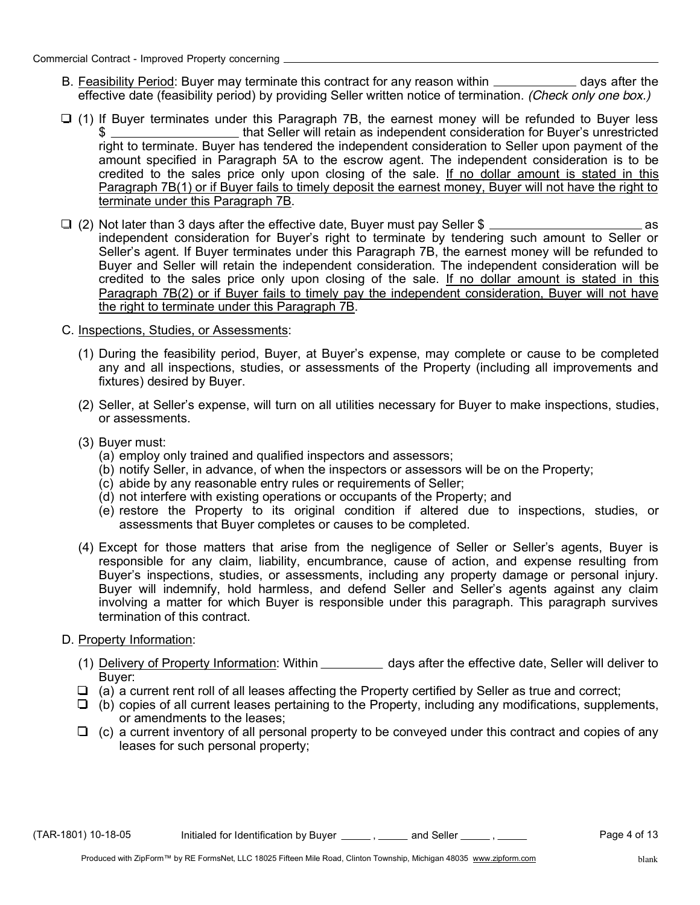- B. Feasibility Period: Buyer may terminate this contract for any reason within \_\_\_\_\_\_\_\_\_\_\_\_\_ days after the effective date (feasibility period) by providing Seller written notice of termination. *(Check only one box.)*
- $\Box$  (1) If Buyer terminates under this Paragraph 7B, the earnest money will be refunded to Buyer less \$ that Seller will retain as independent consideration for Buyer's unrestricted right to terminate. Buyer has tendered the independent consideration to Seller upon payment of the amount specified in Paragraph 5A to the escrow agent. The independent consideration is to be credited to the sales price only upon closing of the sale. If no dollar amount is stated in this Paragraph 7B(1) or if Buyer fails to timely deposit the earnest money, Buyer will not have the right to terminate under this Paragraph 7B.
- (2) Not later than 3 days after the effective date, Buyer must pay Seller \$ as independent consideration for Buyer's right to terminate by tendering such amount to Seller or Seller's agent. If Buyer terminates under this Paragraph 7B, the earnest money will be refunded to Buyer and Seller will retain the independent consideration. The independent consideration will be credited to the sales price only upon closing of the sale. If no dollar amount is stated in this Paragraph 7B(2) or if Buyer fails to timely pay the independent consideration, Buyer will not have the right to terminate under this Paragraph 7B.
- C. Inspections, Studies, or Assessments:
	- (1) During the feasibility period, Buyer, at Buyer's expense, may complete or cause to be completed any and all inspections, studies, or assessments of the Property (including all improvements and fixtures) desired by Buyer.
	- (2) Seller, at Seller's expense, will turn on all utilities necessary for Buyer to make inspections, studies, or assessments.
	- (3) Buyer must:
		- (a) employ only trained and qualified inspectors and assessors;
		- (b) notify Seller, in advance, of when the inspectors or assessors will be on the Property;
		- (c) abide by any reasonable entry rules or requirements of Seller;
		- (d) not interfere with existing operations or occupants of the Property; and
		- (e) restore the Property to its original condition if altered due to inspections, studies, or assessments that Buyer completes or causes to be completed.
	- (4) Except for those matters that arise from the negligence of Seller or Seller's agents, Buyer is responsible for any claim, liability, encumbrance, cause of action, and expense resulting from Buyer's inspections, studies, or assessments, including any property damage or personal injury. Buyer will indemnify, hold harmless, and defend Seller and Seller's agents against any claim involving a matter for which Buyer is responsible under this paragraph. This paragraph survives termination of this contract.
- D. Property Information:
	- (1) Delivery of Property Information: Within \_\_\_\_\_\_\_\_\_\_ days after the effective date, Seller will deliver to Buyer:
	- $\Box$  (a) a current rent roll of all leases affecting the Property certified by Seller as true and correct;
	- $\Box$  (b) copies of all current leases pertaining to the Property, including any modifications, supplements, or amendments to the leases;
	- $\Box$  (c) a current inventory of all personal property to be conveyed under this contract and copies of any leases for such personal property;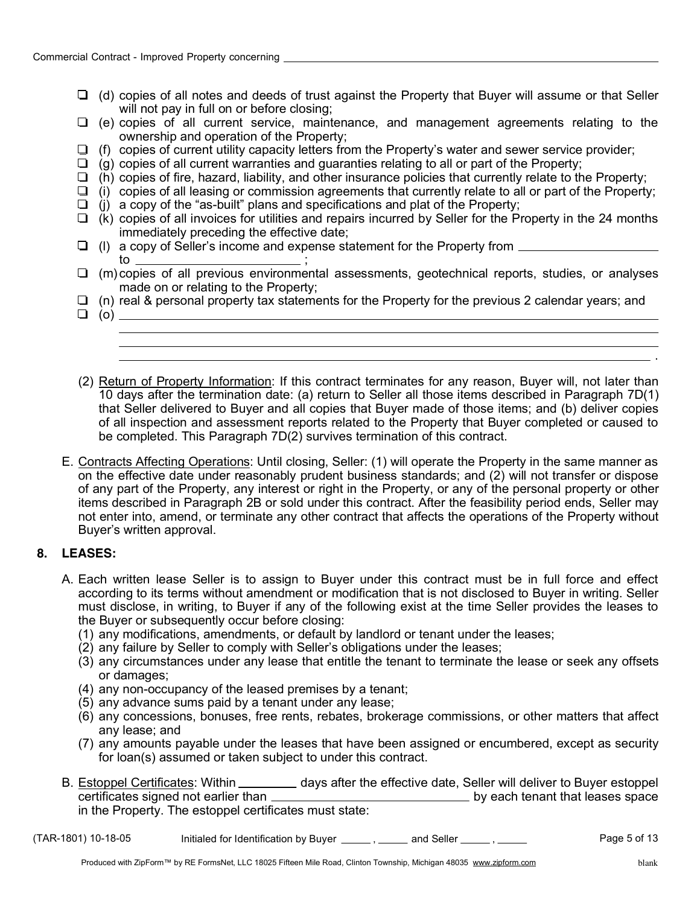- $\Box$  (d) copies of all notes and deeds of trust against the Property that Buyer will assume or that Seller will not pay in full on or before closing:
- $\Box$  (e) copies of all current service, maintenance, and management agreements relating to the ownership and operation of the Property;
- $\Box$  (f) copies of current utility capacity letters from the Property's water and sewer service provider;
- $\Box$ (g) copies of all current warranties and guaranties relating to all or part of the Property;
- $\Box$  (h) copies of fire, hazard, liability, and other insurance policies that currently relate to the Property;
- $\Box$  (i) copies of all leasing or commission agreements that currently relate to all or part of the Property;  $\Box$  (i) a copy of the "as-built" plans and specifications and plat of the Property;
- $\Box$  (k) copies of all invoices for utilities and repairs incurred by Seller for the Property in the 24 months immediately preceding the effective date;
- $\Box$  (I) a copy of Seller's income and expense statement for the Property from  $\Box$  $\frac{1}{10}$  ;  $\frac{1}{10}$  ;  $\frac{1}{10}$  ;  $\frac{1}{10}$  ;  $\frac{1}{10}$  ;  $\frac{1}{10}$  ;  $\frac{1}{10}$  ;  $\frac{1}{10}$  ;  $\frac{1}{10}$  ;  $\frac{1}{10}$  ;  $\frac{1}{10}$  ;  $\frac{1}{10}$  ;  $\frac{1}{10}$  ;  $\frac{1}{10}$  ;  $\frac{1}{10}$  ;  $\frac{1}{10}$  ;  $\frac{1}{10}$  ;
- $\Box$  (m) copies of all previous environmental assessments, geotechnical reports, studies, or analyses made on or relating to the Property;
- $\Box$  (n) real & personal property tax statements for the Property for the previous 2 calendar years; and
- $\Box$  (o)  $\Box$ .
- (2) Return of Property Information: If this contract terminates for any reason, Buyer will, not later than 10 days after the termination date: (a) return to Seller all those items described in Paragraph 7D(1) that Seller delivered to Buyer and all copies that Buyer made of those items; and (b) deliver copies of all inspection and assessment reports related to the Property that Buyer completed or caused to be completed. This Paragraph 7D(2) survives termination of this contract.
- E. Contracts Affecting Operations: Until closing, Seller: (1) will operate the Property in the same manner as on the effective date under reasonably prudent business standards; and (2) will not transfer or dispose of any part of the Property, any interest or right in the Property, or any of the personal property or other items described in Paragraph 2B or sold under this contract. After the feasibility period ends, Seller may not enter into, amend, or terminate any other contract that affects the operations of the Property without Buyer's written approval.

## **8. LEASES:**

- A. Each written lease Seller is to assign to Buyer under this contract must be in full force and effect according to its terms without amendment or modification that is not disclosed to Buyer in writing. Seller must disclose, in writing, to Buyer if any of the following exist at the time Seller provides the leases to the Buyer or subsequently occur before closing:
	- (1) any modifications, amendments, or default by landlord or tenant under the leases;
	- (2) any failure by Seller to comply with Seller's obligations under the leases;
	- (3) any circumstances under any lease that entitle the tenant to terminate the lease or seek any offsets or damages;
	- (4) any non-occupancy of the leased premises by a tenant;
	- (5) any advance sums paid by a tenant under any lease;
	- (6) any concessions, bonuses, free rents, rebates, brokerage commissions, or other matters that affect any lease; and
	- (7) any amounts payable under the leases that have been assigned or encumbered, except as security for loan(s) assumed or taken subject to under this contract.
- B. Estoppel Certificates: Within \_\_\_\_\_\_\_\_\_\_ days after the effective date, Seller will deliver to Buyer estoppel certificates signed not earlier than **by each tenant that leases** space in the Property. The estoppel certificates must state:
- $(TAR-1801)$  10-18-05 Initialed for Identification by Buyer  $\frac{1}{\sqrt{2}}$  and Seller  $\frac{1}{\sqrt{2}}$ ,  $\frac{1}{\sqrt{2}}$  Page 5 of 13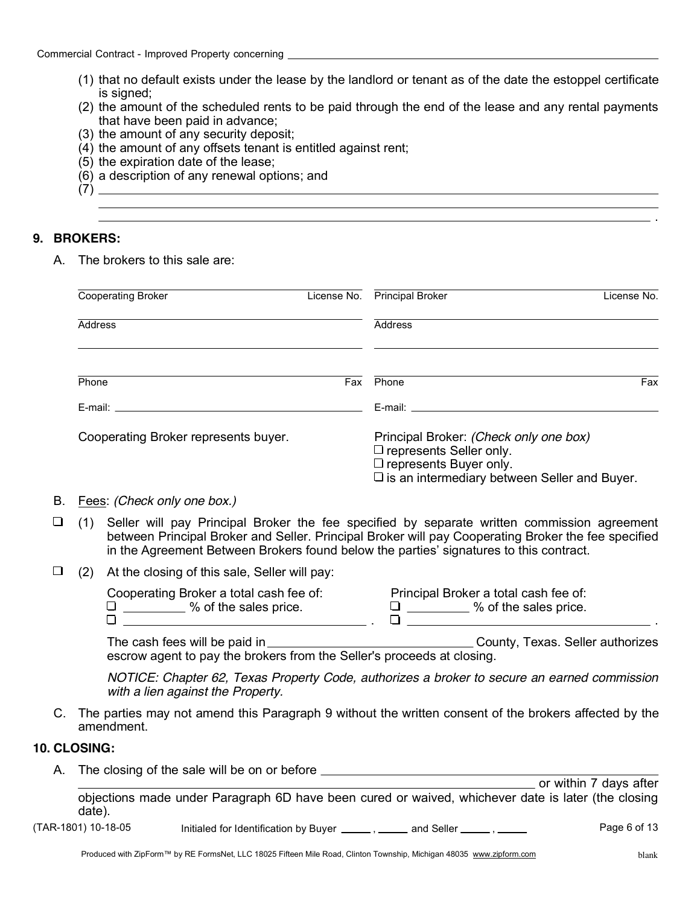- (1) that no default exists under the lease by the landlord or tenant as of the date the estoppel certificate is signed;
- (2) the amount of the scheduled rents to be paid through the end of the lease and any rental payments that have been paid in advance;
- (3) the amount of any security deposit;
- (4) the amount of any offsets tenant is entitled against rent;
- (5) the expiration date of the lease;
- (6) a description of any renewal options; and
- (7)

## **9. BROKERS:**

A. The brokers to this sale are:

| <b>Cooperating Broker</b>            | License No. | <b>Principal Broker</b>                                                                                                                                                   | License No. |
|--------------------------------------|-------------|---------------------------------------------------------------------------------------------------------------------------------------------------------------------------|-------------|
| Address                              |             | Address                                                                                                                                                                   |             |
| Phone                                | Fax         | Phone                                                                                                                                                                     | Fax         |
| E-mail: E-mail:                      |             | E-mail: E-mail:                                                                                                                                                           |             |
| Cooperating Broker represents buyer. |             | Principal Broker: (Check only one box)<br>$\square$ represents Seller only.<br>$\square$ represents Buyer only.<br>$\square$ is an intermediary between Seller and Buyer. |             |

- B. Fees: *(Check only one box.)*
- $\Box$ Seller will pay Principal Broker the fee specified by separate written commission agreement (1) between Principal Broker and Seller. Principal Broker will pay Cooperating Broker the fee specified in the Agreement Between Brokers found below the parties' signatures to this contract.
- $\Box$ (2) At the closing of this sale, Seller will pay:

| Cooperating Broker a total cash fee of: | Principal Broker a total cash fee of: |
|-----------------------------------------|---------------------------------------|
| % of the sales price.                   | % of the sales price.                 |
|                                         |                                       |

The cash fees will be paid in County County, Texas. Seller authorizes escrow agent to pay the brokers from the Seller's proceeds at closing.

*NOTICE: Chapter 62, Texas Property Code, authorizes a broker to secure an earned commission with a lien against the Property.*

C. The parties may not amend this Paragraph 9 without the written consent of the brokers affected by the amendment.

#### **10. CLOSING:**

A. The closing of the sale will be on or before <u>equal</u> the control of the sale of the sale of the sale of the sale of the sale of the sale of the sale of the sale of the sale of the sale of the sale of the sale of the sal

objections made under Paragraph 6D have been cured or waived, whichever date is later (the closing date). **The Cord Correct Struth Correct** Assemble 7 days after

 $(TAR-1801)$  10-18-05 Initialed for Identification by Buyer  $\frac{1}{1-\frac{1}{2}}$  and Seller  $\frac{1}{1-\frac{1}{2}}$  Page 6 of 13

.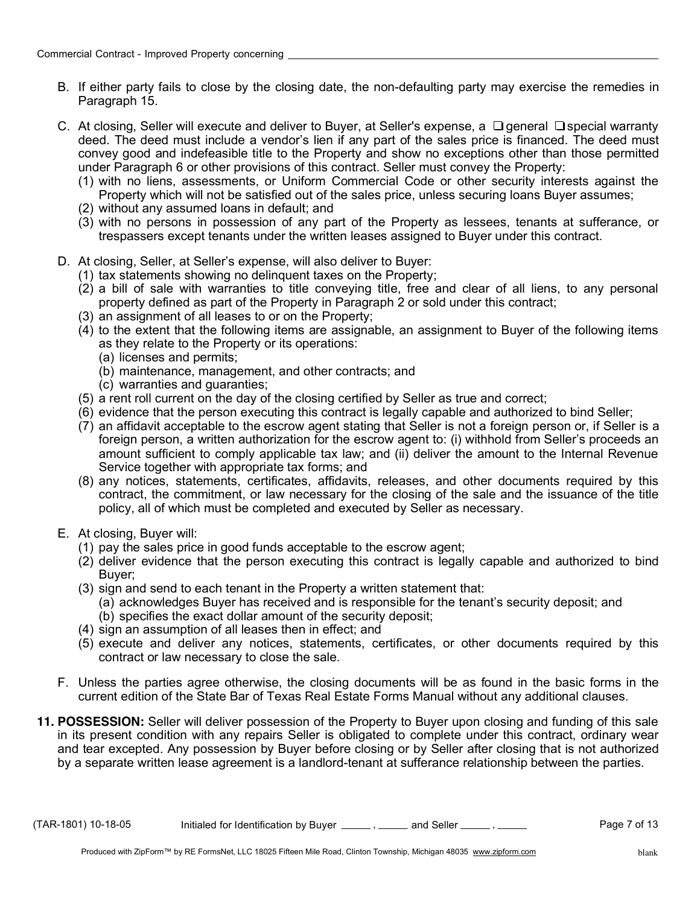- B. If either party fails to close by the closing date, the non-defaulting party may exercise the remedies in Paragraph 15.
- C. At closing, Seller will execute and deliver to Buyer, at Seller's expense, a  $\Box$  general  $\Box$  special warranty deed. The deed must include a vendor's lien if any part of the sales price is financed. The deed must convey good and indefeasible title to the Property and show no exceptions other than those permitted under Paragraph 6 or other provisions of this contract. Seller must convey the Property:
	- (1) with no liens, assessments, or Uniform Commercial Code or other security interests against the Property which will not be satisfied out of the sales price, unless securing loans Buyer assumes;
	- (2) without any assumed loans in default; and
	- (3) with no persons in possession of any part of the Property as lessees, tenants at sufferance, or trespassers except tenants under the written leases assigned to Buyer under this contract.
- D. At closing, Seller, at Seller's expense, will also deliver to Buyer:
	- (1) tax statements showing no delinquent taxes on the Property;
	- (2) a bill of sale with warranties to title conveying title, free and clear of all liens, to any personal property defined as part of the Property in Paragraph 2 or sold under this contract;
	- (3) an assignment of all leases to or on the Property;
	- (4) to the extent that the following items are assignable, an assignment to Buyer of the following items as they relate to the Property or its operations:
		- (a) licenses and permits;
		- (b) maintenance, management, and other contracts; and
		- (c) warranties and guaranties;
	- (5) a rent roll current on the day of the closing certified by Seller as true and correct;
	- (6) evidence that the person executing this contract is legally capable and authorized to bind Seller;
	- (7) an affidavit acceptable to the escrow agent stating that Seller is not a foreign person or, if Seller is a foreign person, a written authorization for the escrow agent to: (i) withhold from Seller's proceeds an amount sufficient to comply applicable tax law; and (ii) deliver the amount to the Internal Revenue Service together with appropriate tax forms; and
	- (8) any notices, statements, certificates, affidavits, releases, and other documents required by this contract, the commitment, or law necessary for the closing of the sale and the issuance of the title policy, all of which must be completed and executed by Seller as necessary.
- E. At closing, Buyer will:
	- (1) pay the sales price in good funds acceptable to the escrow agent;
	- (2) deliver evidence that the person executing this contract is legally capable and authorized to bind Buyer;
	- (3) sign and send to each tenant in the Property a written statement that:
		- (a) acknowledges Buyer has received and is responsible for the tenant's security deposit; and
		- (b) specifies the exact dollar amount of the security deposit;
	- (4) sign an assumption of all leases then in effect; and
	- (5) execute and deliver any notices, statements, certificates, or other documents required by this contract or law necessary to close the sale.
- F. Unless the parties agree otherwise, the closing documents will be as found in the basic forms in the current edition of the State Bar of Texas Real Estate Forms Manual without any additional clauses.
- **11. POSSESSION:** Seller will deliver possession of the Property to Buyer upon closing and funding of this sale in its present condition with any repairs Seller is obligated to complete under this contract, ordinary wear and tear excepted. Any possession by Buyer before closing or by Seller after closing that is not authorized by a separate written lease agreement is a landlord-tenant at sufferance relationship between the parties.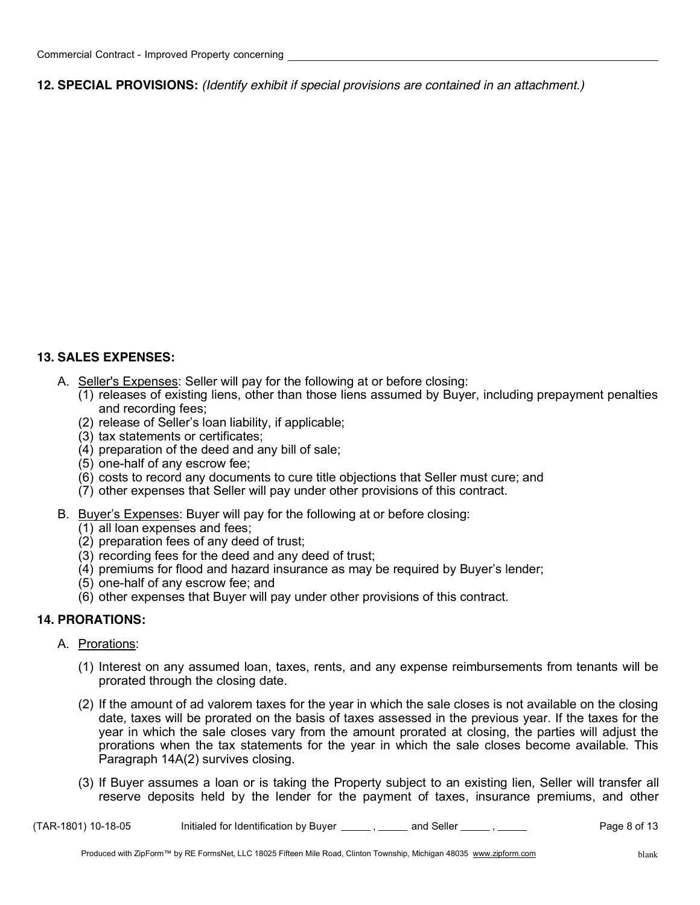**12. SPECIAL PROVISIONS:** *(Identify exhibit if special provisions are contained in an attachment.)*

## **13. SALES EXPENSES:**

- A. Seller's Expenses: Seller will pay for the following at or before closing:
	- (1) releases of existing liens, other than those liens assumed by Buyer, including prepayment penalties and recording fees;
	- (2) release of Seller's loan liability, if applicable;
	- (3) tax statements or certificates;
	- (4) preparation of the deed and any bill of sale;
	- (5) one-half of any escrow fee;
	- (6) costs to record any documents to cure title objections that Seller must cure; and
	- (7) other expenses that Seller will pay under other provisions of this contract.
- B. Buyer's Expenses: Buyer will pay for the following at or before closing:
	- (1) all loan expenses and fees;
	- (2) preparation fees of any deed of trust;
	- (3) recording fees for the deed and any deed of trust;
	- (4) premiums for flood and hazard insurance as may be required by Buyer's lender;
	- (5) one-half of any escrow fee; and
	- (6) other expenses that Buyer will pay under other provisions of this contract.

#### **14. PRORATIONS:**

#### A. Prorations:

- (1) Interest on any assumed loan, taxes, rents, and any expense reimbursements from tenants will be prorated through the closing date.
- (2) If the amount of ad valorem taxes for the year in which the sale closes is not available on the closing date, taxes will be prorated on the basis of taxes assessed in the previous year. If the taxes for the year in which the sale closes vary from the amount prorated at closing, the parties will adjust the prorations when the tax statements for the year in which the sale closes become available. This Paragraph 14A(2) survives closing.
- (3) If Buyer assumes a loan or is taking the Property subject to an existing lien, Seller will transfer all reserve deposits held by the lender for the payment of taxes, insurance premiums, and other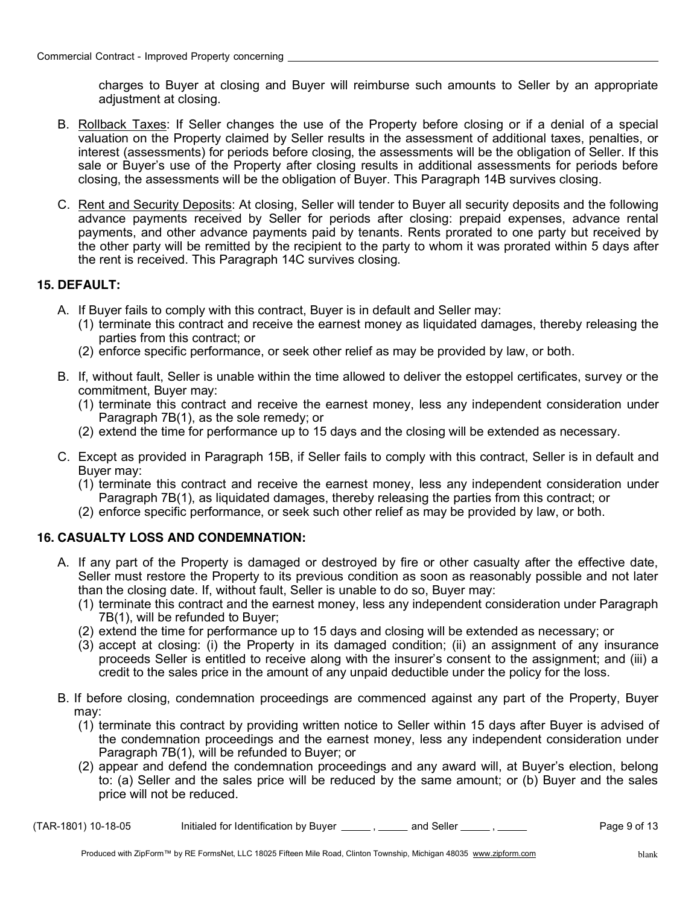charges to Buyer at closing and Buyer will reimburse such amounts to Seller by an appropriate adjustment at closing.

- B. Rollback Taxes: If Seller changes the use of the Property before closing or if a denial of a special valuation on the Property claimed by Seller results in the assessment of additional taxes, penalties, or interest (assessments) for periods before closing, the assessments will be the obligation of Seller. If this sale or Buyer's use of the Property after closing results in additional assessments for periods before closing, the assessments will be the obligation of Buyer. This Paragraph 14B survives closing.
- C. Rent and Security Deposits: At closing, Seller will tender to Buyer all security deposits and the following advance payments received by Seller for periods after closing: prepaid expenses, advance rental payments, and other advance payments paid by tenants. Rents prorated to one party but received by the other party will be remitted by the recipient to the party to whom it was prorated within 5 days after the rent is received. This Paragraph 14C survives closing.

## **15. DEFAULT:**

- A. If Buyer fails to comply with this contract, Buyer is in default and Seller may:
	- (1) terminate this contract and receive the earnest money as liquidated damages, thereby releasing the parties from this contract; or
	- (2) enforce specific performance, or seek other relief as may be provided by law, or both.
- B. If, without fault, Seller is unable within the time allowed to deliver the estoppel certificates, survey or the commitment, Buyer may:
	- (1) terminate this contract and receive the earnest money, less any independent consideration under Paragraph 7B(1), as the sole remedy; or
	- (2) extend the time for performance up to 15 days and the closing will be extended as necessary.
- C. Except as provided in Paragraph 15B, if Seller fails to comply with this contract, Seller is in default and Buyer may:
	- (1) terminate this contract and receive the earnest money, less any independent consideration under Paragraph 7B(1), as liquidated damages, thereby releasing the parties from this contract; or
	- (2) enforce specific performance, or seek such other relief as may be provided by law, or both.

## **16. CASUALTY LOSS AND CONDEMNATION:**

- A. If any part of the Property is damaged or destroyed by fire or other casualty after the effective date, Seller must restore the Property to its previous condition as soon as reasonably possible and not later than the closing date. If, without fault, Seller is unable to do so, Buyer may:
	- (1) terminate this contract and the earnest money, less any independent consideration under Paragraph 7B(1), will be refunded to Buyer;
	- (2) extend the time for performance up to 15 days and closing will be extended as necessary; or
	- (3) accept at closing: (i) the Property in its damaged condition; (ii) an assignment of any insurance proceeds Seller is entitled to receive along with the insurer's consent to the assignment; and (iii) a credit to the sales price in the amount of any unpaid deductible under the policy for the loss.
- B. If before closing, condemnation proceedings are commenced against any part of the Property, Buyer may:
	- (1) terminate this contract by providing written notice to Seller within 15 days after Buyer is advised of the condemnation proceedings and the earnest money, less any independent consideration under Paragraph 7B(1), will be refunded to Buyer; or
	- (2) appear and defend the condemnation proceedings and any award will, at Buyer's election, belong to: (a) Seller and the sales price will be reduced by the same amount; or (b) Buyer and the sales price will not be reduced.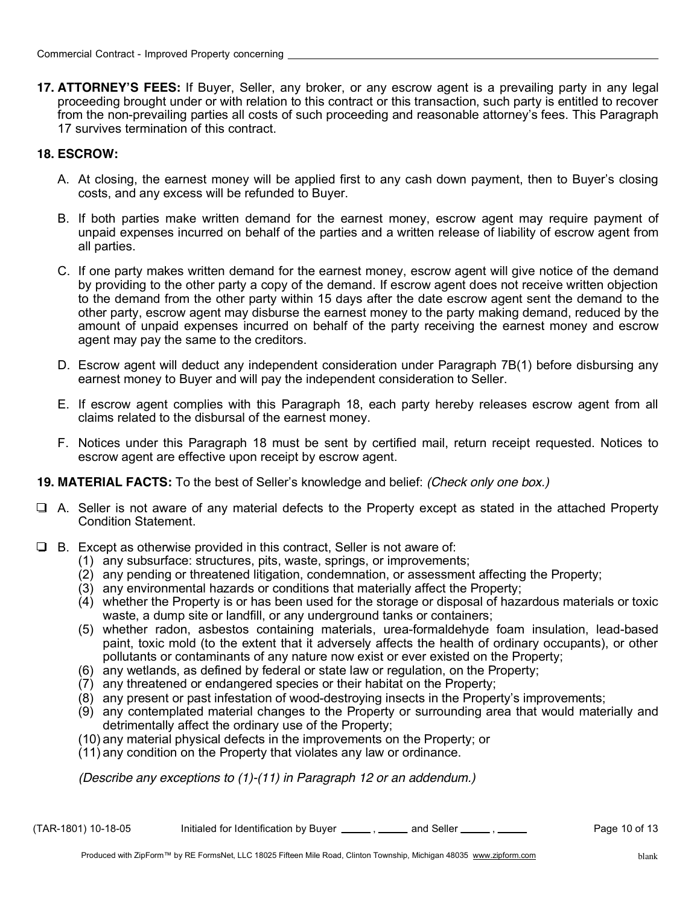**17. ATTORNEY'S FEES:** If Buyer, Seller, any broker, or any escrow agent is a prevailing party in any legal proceeding brought under or with relation to this contract or this transaction, such party is entitled to recover from the non-prevailing parties all costs of such proceeding and reasonable attorney's fees. This Paragraph 17 survives termination of this contract.

## **18. ESCROW:**

- A. At closing, the earnest money will be applied first to any cash down payment, then to Buyer's closing costs, and any excess will be refunded to Buyer.
- B. If both parties make written demand for the earnest money, escrow agent may require payment of unpaid expenses incurred on behalf of the parties and a written release of liability of escrow agent from all parties.
- C. If one party makes written demand for the earnest money, escrow agent will give notice of the demand by providing to the other party a copy of the demand. If escrow agent does not receive written objection to the demand from the other party within 15 days after the date escrow agent sent the demand to the other party, escrow agent may disburse the earnest money to the party making demand, reduced by the amount of unpaid expenses incurred on behalf of the party receiving the earnest money and escrow agent may pay the same to the creditors.
- D. Escrow agent will deduct any independent consideration under Paragraph 7B(1) before disbursing any earnest money to Buyer and will pay the independent consideration to Seller.
- E. If escrow agent complies with this Paragraph 18, each party hereby releases escrow agent from all claims related to the disbursal of the earnest money.
- F. Notices under this Paragraph 18 must be sent by certified mail, return receipt requested. Notices to escrow agent are effective upon receipt by escrow agent.
- **19. MATERIAL FACTS:** To the best of Seller's knowledge and belief: *(Check only one box.)*
- $\Box$  A. Seller is not aware of any material defects to the Property except as stated in the attached Property Condition Statement.
- $\Box$  B. Except as otherwise provided in this contract, Seller is not aware of:
	- (1) any subsurface: structures, pits, waste, springs, or improvements;
	- (2) any pending or threatened litigation, condemnation, or assessment affecting the Property;
	- (3) any environmental hazards or conditions that materially affect the Property;
	- (4) whether the Property is or has been used for the storage or disposal of hazardous materials or toxic waste, a dump site or landfill, or any underground tanks or containers;
	- (5) whether radon, asbestos containing materials, urea-formaldehyde foam insulation, lead-based paint, toxic mold (to the extent that it adversely affects the health of ordinary occupants), or other pollutants or contaminants of any nature now exist or ever existed on the Property;
	- (6) any wetlands, as defined by federal or state law or regulation, on the Property;
	- (7) any threatened or endangered species or their habitat on the Property;
	- (8) any present or past infestation of wood-destroying insects in the Property's improvements;
	- (9) any contemplated material changes to the Property or surrounding area that would materially and detrimentally affect the ordinary use of the Property;
	- (10) any material physical defects in the improvements on the Property; or
	- (11) any condition on the Property that violates any law or ordinance.

*(Describe any exceptions to (1)-(11) in Paragraph 12 or an addendum.)*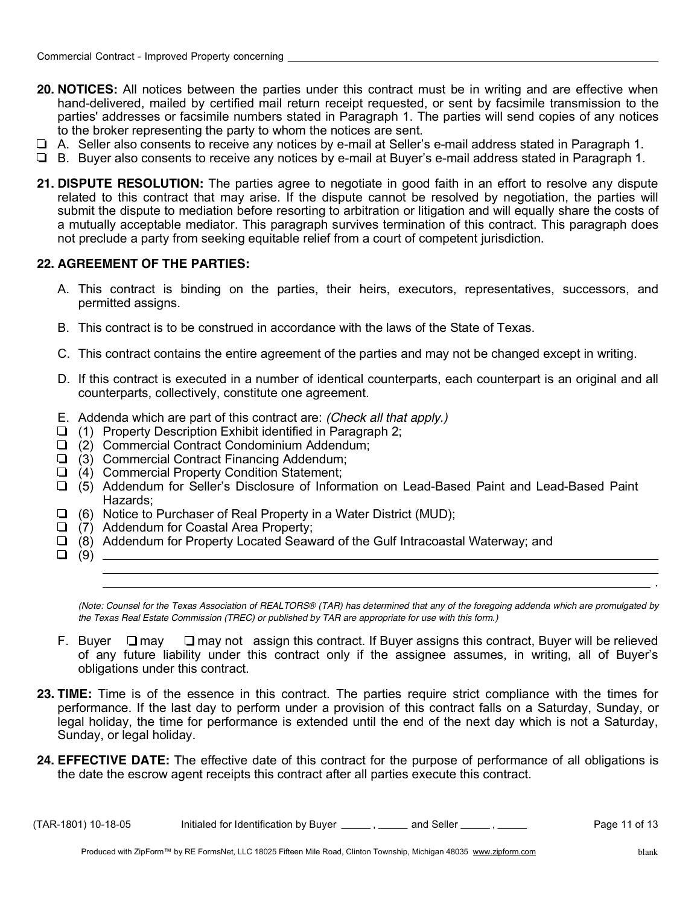- **20. NOTICES:** All notices between the parties under this contract must be in writing and are effective when hand-delivered, mailed by certified mail return receipt requested, or sent by facsimile transmission to the parties' addresses or facsimile numbers stated in Paragraph 1. The parties will send copies of any notices to the broker representing the party to whom the notices are sent.
- A. Seller also consents to receive any notices by e-mail at Seller's e-mail address stated in Paragraph 1.
- B. Buyer also consents to receive any notices by e-mail at Buyer's e-mail address stated in Paragraph 1.
- **21. DISPUTE RESOLUTION:** The parties agree to negotiate in good faith in an effort to resolve any dispute related to this contract that may arise. If the dispute cannot be resolved by negotiation, the parties will submit the dispute to mediation before resorting to arbitration or litigation and will equally share the costs of a mutually acceptable mediator. This paragraph survives termination of this contract. This paragraph does not preclude a party from seeking equitable relief from a court of competent jurisdiction.

## **22. AGREEMENT OF THE PARTIES:**

- A. This contract is binding on the parties, their heirs, executors, representatives, successors, and permitted assigns.
- B. This contract is to be construed in accordance with the laws of the State of Texas.
- C. This contract contains the entire agreement of the parties and may not be changed except in writing.
- D. If this contract is executed in a number of identical counterparts, each counterpart is an original and all counterparts, collectively, constitute one agreement.
- E. Addenda which are part of this contract are: *(Check all that apply.)*
- $\Box$  (1) Property Description Exhibit identified in Paragraph 2;
- (2) Commercial Contract Condominium Addendum;
- $\Box$  (3) Commercial Contract Financing Addendum;
- $\Box$  (4) Commercial Property Condition Statement;
- (5) Addendum for Seller's Disclosure of Information on Lead-Based Paint and Lead-Based Paint Hazards;
- $\Box$  (6) Notice to Purchaser of Real Property in a Water District (MUD);
- $\Box$  (7) Addendum for Coastal Area Property;
- $\Box$  (8) Addendum for Property Located Seaward of the Gulf Intracoastal Waterway; and
- $\Box$  (9)  $\Box$

*(Note: Counsel for the Texas Association of REALTORS® (TAR) has determined that any of the foregoing addenda which are promulgated by the Texas Real Estate Commission (TREC) or published by TAR are appropriate for use with this form.)*

- F. Buyer  $\Box$  may  $\Box$  may not assign this contract. If Buyer assigns this contract, Buyer will be relieved of any future liability under this contract only if the assignee assumes, in writing, all of Buyer's obligations under this contract.
- **23. TIME:** Time is of the essence in this contract. The parties require strict compliance with the times for performance. If the last day to perform under a provision of this contract falls on a Saturday, Sunday, or legal holiday, the time for performance is extended until the end of the next day which is not a Saturday, Sunday, or legal holiday.
- **24. EFFECTIVE DATE:** The effective date of this contract for the purpose of performance of all obligations is the date the escrow agent receipts this contract after all parties execute this contract.

 $(TAR-1801)$  10-18-05 Initialed for Identification by Buyer  $\frac{1}{\sqrt{1-\frac{1}{n}}}$  and Seller  $\frac{1}{\sqrt{1-\frac{1}{n}}}$  Page 11 of 13

.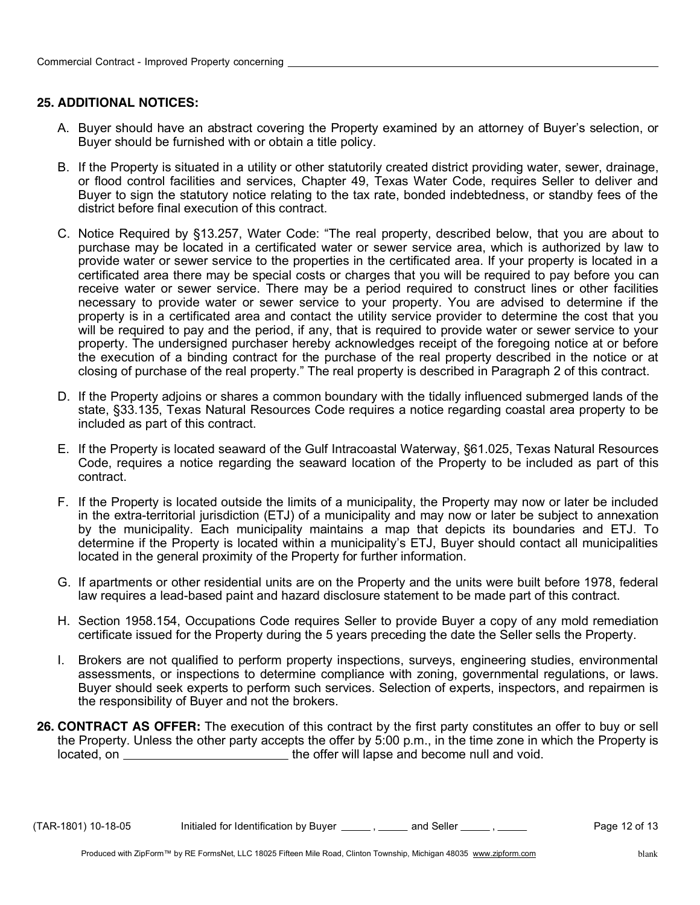#### **25. ADDITIONAL NOTICES:**

- A. Buyer should have an abstract covering the Property examined by an attorney of Buyer's selection, or Buyer should be furnished with or obtain a title policy.
- B. If the Property is situated in a utility or other statutorily created district providing water, sewer, drainage, or flood control facilities and services, Chapter 49, Texas Water Code, requires Seller to deliver and Buyer to sign the statutory notice relating to the tax rate, bonded indebtedness, or standby fees of the district before final execution of this contract.
- C. Notice Required by §13.257, Water Code: "The real property, described below, that you are about to purchase may be located in a certificated water or sewer service area, which is authorized by law to provide water or sewer service to the properties in the certificated area. If your property is located in a certificated area there may be special costs or charges that you will be required to pay before you can receive water or sewer service. There may be a period required to construct lines or other facilities necessary to provide water or sewer service to your property. You are advised to determine if the property is in a certificated area and contact the utility service provider to determine the cost that you will be required to pay and the period, if any, that is required to provide water or sewer service to your property. The undersigned purchaser hereby acknowledges receipt of the foregoing notice at or before the execution of a binding contract for the purchase of the real property described in the notice or at closing of purchase of the real property." The real property is described in Paragraph 2 of this contract.
- D. If the Property adjoins or shares a common boundary with the tidally influenced submerged lands of the state, §33.135, Texas Natural Resources Code requires a notice regarding coastal area property to be included as part of this contract.
- E. If the Property is located seaward of the Gulf Intracoastal Waterway, §61.025, Texas Natural Resources Code, requires a notice regarding the seaward location of the Property to be included as part of this contract.
- F. If the Property is located outside the limits of a municipality, the Property may now or later be included in the extra-territorial jurisdiction (ETJ) of a municipality and may now or later be subject to annexation by the municipality. Each municipality maintains a map that depicts its boundaries and ETJ. To determine if the Property is located within a municipality's ETJ, Buyer should contact all municipalities located in the general proximity of the Property for further information.
- G. If apartments or other residential units are on the Property and the units were built before 1978, federal law requires a lead-based paint and hazard disclosure statement to be made part of this contract.
- H. Section 1958.154, Occupations Code requires Seller to provide Buyer a copy of any mold remediation certificate issued for the Property during the 5 years preceding the date the Seller sells the Property.
- I. Brokers are not qualified to perform property inspections, surveys, engineering studies, environmental assessments, or inspections to determine compliance with zoning, governmental regulations, or laws. Buyer should seek experts to perform such services. Selection of experts, inspectors, and repairmen is the responsibility of Buyer and not the brokers.
- **26. CONTRACT AS OFFER:** The execution of this contract by the first party constitutes an offer to buy or sell the Property. Unless the other party accepts the offer by 5:00 p.m., in the time zone in which the Property is located, on **the offer will lapse and become null and void.**